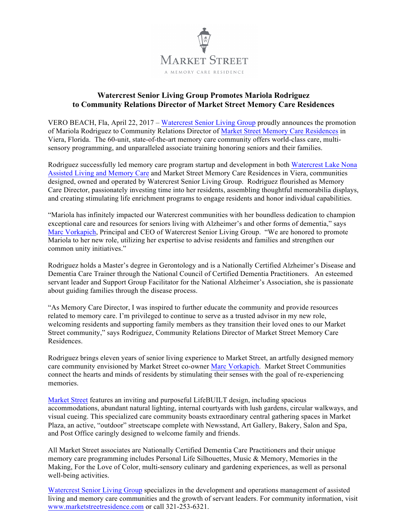

## **Watercrest Senior Living Group Promotes Mariola Rodriguez to Community Relations Director of Market Street Memory Care Residences**

VERO BEACH, Fla, April 22, 2017 – [Watercrest Senior Living](http://www.watercrestslg.com) Group proudly announces the promotion of Mariola Rodriguez to Community Relations Director of [Market Street Memory Care Residences](http://www.marketstreetresidence.com/viera.html) in Viera, Florida. The 60-unit, state-of-the-art memory care community offers world-class care, multisensory programming, and unparalleled associate training honoring seniors and their families.

Rodriguez successfully led memory care program startup and development in both [Watercrest Lake Nona](http://www.watercrestseniorliving.com/lake-nona.html) [Assisted Living and Memory Care](http://www.watercrestseniorliving.com/lake-nona.html) and Market Street Memory Care Residences in Viera, communities designed, owned and operated by Watercrest Senior Living Group. Rodriguez flourished as Memory Care Director, passionately investing time into her residents, assembling thoughtful memorabilia displays, and creating stimulating life enrichment programs to engage residents and honor individual capabilities.

"Mariola has infinitely impacted our Watercrest communities with her boundless dedication to champion exceptional care and resources for seniors living with Alzheimer's and other forms of dementia," says [Marc Vorkapich](http://www.watercrestslg.com/servant-leadership.html), Principal and CEO of Watercrest Senior Living Group. "We are honored to promote Mariola to her new role, utilizing her expertise to advise residents and families and strengthen our common unity initiatives."

Rodriguez holds a Master's degree in Gerontology and is a Nationally Certified Alzheimer's Disease and Dementia Care Trainer through the National Council of Certified Dementia Practitioners. An esteemed servant leader and Support Group Facilitator for the National Alzheimer's Association, she is passionate about guiding families through the disease process.

"As Memory Care Director, I was inspired to further educate the community and provide resources related to memory care. I'm privileged to continue to serve as a trusted advisor in my new role, welcoming residents and supporting family members as they transition their loved ones to our Market Street community," says Rodriguez, Community Relations Director of Market Street Memory Care Residences.

Rodriguez brings eleven years of senior living experience to Market Street, an artfully designed memory care community envisioned by Market Street co-owner [Marc Vorkapich](http://www.marketstreetresidence.com/servant-leadership.html). Market Street Communities connect the hearts and minds of residents by stimulating their senses with the goal of re-experiencing memories.

[Market Street](http://www.marketstreetresidence.com) features an inviting and purposeful LifeBUILT design, including spacious accommodations, abundant natural lighting, internal courtyards with lush gardens, circular walkways, and visual cueing. This specialized care community boasts extraordinary central gathering spaces in Market Plaza, an active, "outdoor" streetscape complete with Newsstand, Art Gallery, Bakery, Salon and Spa, and Post Office caringly designed to welcome family and friends.

All Market Street associates are Nationally Certified Dementia Care Practitioners and their unique memory care programming includes Personal Life Silhouettes, Music & Memory, Memories in the Making, For the Love of Color, multi-sensory culinary and gardening experiences, as well as personal well-being activities.

[Watercrest Senior Living Group](http://www.watercrestslg.com) specializes in the development and operations management of assisted living and memory care communities and the growth of servant leaders. For community information, visit [www.marketstreetresidence.com](http://www.marketstreetresidence.com) or call 321-253-6321.